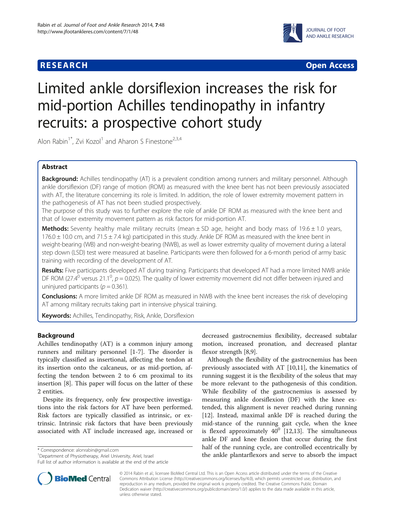# **RESEARCH CHINESE ARCH CHINESE ARCH CHINESE ARCH <b>CHINESE ARCH**



# Limited ankle dorsiflexion increases the risk for mid-portion Achilles tendinopathy in infantry recruits: a prospective cohort study

Alon Rabin<sup>1\*</sup>, Zvi Kozol<sup>1</sup> and Aharon S Finestone<sup>2,3,4</sup>

# Abstract

Background: Achilles tendinopathy (AT) is a prevalent condition among runners and military personnel. Although ankle dorsiflexion (DF) range of motion (ROM) as measured with the knee bent has not been previously associated with AT, the literature concerning its role is limited. In addition, the role of lower extremity movement pattern in the pathogenesis of AT has not been studied prospectively.

The purpose of this study was to further explore the role of ankle DF ROM as measured with the knee bent and that of lower extremity movement pattern as risk factors for mid-portion AT.

**Methods:** Seventy healthy male military recruits (mean  $\pm$  SD age, height and body mass of 19.6  $\pm$  1.0 years,  $176.0 \pm 10.0$  cm, and  $71.5 \pm 7.4$  kg) participated in this study. Ankle DF ROM as measured with the knee bent in weight-bearing (WB) and non-weight-bearing (NWB), as well as lower extremity quality of movement during a lateral step down (LSD) test were measured at baseline. Participants were then followed for a 6-month period of army basic training with recording of the development of AT.

Results: Five participants developed AT during training. Participants that developed AT had a more limited NWB ankle DF ROM (27.4<sup>0</sup> versus 21.1<sup>0</sup>,  $p = 0.025$ ). The quality of lower extremity movement did not differ between injured and uninjured participants ( $p = 0.361$ ).

**Conclusions:** A more limited ankle DF ROM as measured in NWB with the knee bent increases the risk of developing AT among military recruits taking part in intensive physical training.

Keywords: Achilles, Tendinopathy, Risk, Ankle, Dorsiflexion

# Background

Achilles tendinopathy (AT) is a common injury among runners and military personnel [[1](#page-5-0)[-7\]](#page-6-0). The disorder is typically classified as insertional, affecting the tendon at its insertion onto the calcaneus, or as mid-portion, affecting the tendon between 2 to 6 cm proximal to its insertion [\[8](#page-6-0)]. This paper will focus on the latter of these 2 entities.

Despite its frequency, only few prospective investigations into the risk factors for AT have been performed. Risk factors are typically classified as intrinsic, or extrinsic. Intrinsic risk factors that have been previously associated with AT include increased age, increased or

<sup>1</sup>Department of Physiotherapy, Ariel University, Ariel, Israel

Full list of author information is available at the end of the article



Although the flexibility of the gastrocnemius has been previously associated with AT [\[10,11\]](#page-6-0), the kinematics of running suggest it is the flexibility of the soleus that may be more relevant to the pathogenesis of this condition. While flexibility of the gastrocnemius is assessed by measuring ankle dorsiflexion (DF) with the knee extended, this alignment is never reached during running [[12\]](#page-6-0). Instead, maximal ankle DF is reached during the mid-stance of the running gait cycle, when the knee is flexed approximately  $40^0$  [[12,13\]](#page-6-0). The simultaneous ankle DF and knee flexion that occur during the first half of the running cycle, are controlled eccentrically by the ankle plantarflexors and serve to absorb the impact<br>
<sup>1</sup>Department of Physiotherapy, Ariel University, Ariel, Israel **1998 1999 1999 1999 1999 1999 1999 1999 1999 1999 1999 1999 1999 1999 19** 



© 2014 Rabin et al.; licensee BioMed Central Ltd. This is an Open Access article distributed under the terms of the Creative Commons Attribution License [\(http://creativecommons.org/licenses/by/4.0\)](http://creativecommons.org/licenses/by/4.0), which permits unrestricted use, distribution, and reproduction in any medium, provided the original work is properly credited. The Creative Commons Public Domain Dedication waiver [\(http://creativecommons.org/publicdomain/zero/1.0/](http://creativecommons.org/publicdomain/zero/1.0/)) applies to the data made available in this article, unless otherwise stated.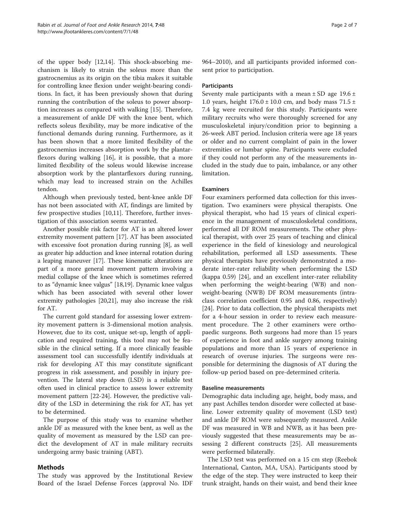of the upper body [\[12,14\]](#page-6-0). This shock-absorbing mechanism is likely to strain the soleus more than the gastrocnemius as its origin on the tibia makes it suitable for controlling knee flexion under weight-bearing conditions. In fact, it has been previously shown that during running the contribution of the soleus to power absorption increases as compared with walking [[15\]](#page-6-0). Therefore, a measurement of ankle DF with the knee bent, which reflects soleus flexibility, may be more indicative of the functional demands during running. Furthermore, as it has been shown that a more limited flexibility of the gastrocnemius increases absorption work by the plantarflexors during walking [\[16\]](#page-6-0), it is possible, that a more limited flexibility of the soleus would likewise increase absorption work by the plantarflexors during running, which may lead to increased strain on the Achilles tendon.

Although when previously tested, bent-knee ankle DF has not been associated with AT, findings are limited by few prospective studies [\[10,11](#page-6-0)]. Therefore, further investigation of this association seems warranted.

Another possible risk factor for AT is an altered lower extremity movement pattern [\[17\]](#page-6-0). AT has been associated with excessive foot pronation during running [\[8\]](#page-6-0), as well as greater hip adduction and knee internal rotation during a leaping maneuver [[17](#page-6-0)]. These kinematic alterations are part of a more general movement pattern involving a medial collapse of the knee which is sometimes referred to as "dynamic knee valgus" [[18,19\]](#page-6-0). Dynamic knee valgus which has been associated with several other lower extremity pathologies [\[20,21\]](#page-6-0), may also increase the risk for AT.

The current gold standard for assessing lower extremity movement pattern is 3-dimensional motion analysis. However, due to its cost, unique set-up, length of application and required training, this tool may not be feasible in the clinical setting. If a more clinically feasible assessment tool can successfully identify individuals at risk for developing AT this may constitute significant progress in risk assessment, and possibly in injury prevention. The lateral step down (LSD) is a reliable test often used in clinical practice to assess lower extremity movement pattern [[22](#page-6-0)-[24\]](#page-6-0). However, the predictive validity of the LSD in determining the risk for AT, has yet to be determined.

The purpose of this study was to examine whether ankle DF as measured with the knee bent, as well as the quality of movement as measured by the LSD can predict the development of AT in male military recruits undergoing army basic training (ABT).

# Methods

The study was approved by the Institutional Review Board of the Israel Defense Forces (approval No. IDF 964–2010), and all participants provided informed consent prior to participation.

## **Participants**

Seventy male participants with a mean  $\pm$  SD age 19.6  $\pm$ 1.0 years, height  $176.0 \pm 10.0$  cm, and body mass  $71.5 \pm 10.0$ 7.4 kg were recruited for this study. Participants were military recruits who were thoroughly screened for any musculoskeletal injury/condition prior to beginning a 26-week ABT period. Inclusion criteria were age 18 years or older and no current complaint of pain in the lower extremities or lumbar spine. Participants were excluded if they could not perform any of the measurements included in the study due to pain, imbalance, or any other limitation.

### Examiners

Four examiners performed data collection for this investigation. Two examiners were physical therapists. One physical therapist, who had 15 years of clinical experience in the management of musculoskeletal conditions, performed all DF ROM measurements. The other physical therapist, with over 25 years of teaching and clinical experience in the field of kinesiology and neurological rehabilitation, performed all LSD assessments. These physical therapists have previously demonstrated a moderate inter-rater reliability when performing the LSD (kappa 0.59) [\[24\]](#page-6-0), and an excellent inter-rater reliability when performing the weight-bearing (WB) and nonweight-bearing (NWB) DF ROM measurements (intraclass correlation coefficient 0.95 and 0.86, respectively) [[24\]](#page-6-0). Prior to data collection, the physical therapists met for a 4-hour session in order to review each measurement procedure. The 2 other examiners were orthopaedic surgeons. Both surgeons had more than 15 years of experience in foot and ankle surgery among training populations and more than 15 years of experience in research of overuse injuries. The surgeons were responsible for determining the diagnosis of AT during the follow-up period based on pre-determined criteria.

#### Baseline measurements

Demographic data including age, height, body mass, and any past Achilles tendon disorder were collected at baseline. Lower extremity quality of movement (LSD test) and ankle DF ROM were subsequently measured. Ankle DF was measured in WB and NWB, as it has been previously suggested that these measurements may be assessing 2 different constructs [[25\]](#page-6-0). All measurements were performed bilaterally.

The LSD test was performed on a 15 cm step (Reebok International, Canton, MA, USA). Participants stood by the edge of the step. They were instructed to keep their trunk straight, hands on their waist, and bend their knee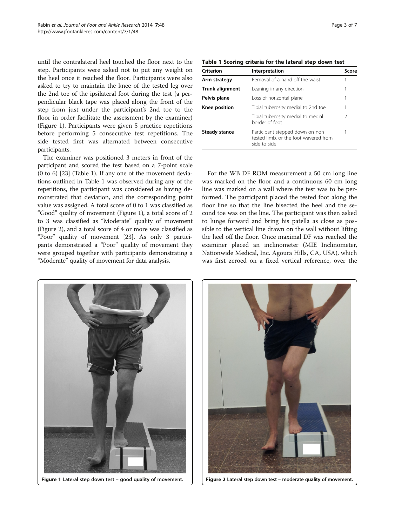until the contralateral heel touched the floor next to the step. Participants were asked not to put any weight on the heel once it reached the floor. Participants were also asked to try to maintain the knee of the tested leg over the 2nd toe of the ipsilateral foot during the test (a perpendicular black tape was placed along the front of the step from just under the participant's 2nd toe to the floor in order facilitate the assessment by the examiner) (Figure 1). Participants were given 5 practice repetitions before performing 5 consecutive test repetitions. The side tested first was alternated between consecutive participants.

The examiner was positioned 3 meters in front of the participant and scored the test based on a 7-point scale (0 to 6) [\[23\]](#page-6-0) (Table 1). If any one of the movement deviations outlined in Table 1 was observed during any of the repetitions, the participant was considered as having demonstrated that deviation, and the corresponding point value was assigned. A total score of 0 to 1 was classified as "Good" quality of movement (Figure 1), a total score of 2 to 3 was classified as "Moderate" quality of movement (Figure 2), and a total score of 4 or more was classified as "Poor" quality of movement [[23](#page-6-0)]. As only 3 participants demonstrated a "Poor" quality of movement they were grouped together with participants demonstrating a "Moderate" quality of movement for data analysis.

Table 1 Scoring criteria for the lateral step down test

| Criterion              | Interpretation                                                                           | Score |
|------------------------|------------------------------------------------------------------------------------------|-------|
| Arm strategy           | Removal of a hand off the waist                                                          |       |
| <b>Trunk alignment</b> | Leaning in any direction                                                                 |       |
| Pelvis plane           | Loss of horizontal plane                                                                 |       |
| Knee position          | Tibial tuberosity medial to 2nd toe                                                      |       |
|                        | Tibial tuberosity medial to medial<br>border of foot                                     | 2     |
| Steady stance          | Participant stepped down on non<br>tested limb, or the foot wavered from<br>side to side |       |

For the WB DF ROM measurement a 50 cm long line was marked on the floor and a continuous 60 cm long line was marked on a wall where the test was to be performed. The participant placed the tested foot along the floor line so that the line bisected the heel and the second toe was on the line. The participant was then asked to lunge forward and bring his patella as close as possible to the vertical line drawn on the wall without lifting the heel off the floor. Once maximal DF was reached the examiner placed an inclinometer (MIE Inclinometer, Nationwide Medical, Inc. Agoura Hills, CA, USA), which was first zeroed on a fixed vertical reference, over the



Figure 1 Lateral step down test – good quality of movement.



Figure 2 Lateral step down test – moderate quality of movement.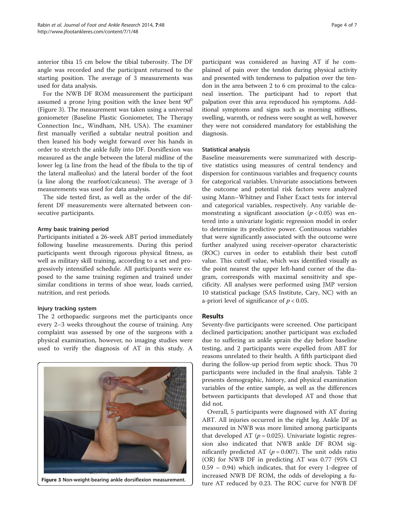anterior tibia 15 cm below the tibial tuberosity. The DF angle was recorded and the participant returned to the starting position. The average of 3 measurements was used for data analysis.

For the NWB DF ROM measurement the participant assumed a prone lying position with the knee bent  $90^0$ (Figure 3). The measurement was taken using a universal goniometer (Baseline Plastic Goniometer, The Therapy Connection Inc., Windham, NH, USA). The examiner first manually verified a subtalar neutral position and then leaned his body weight forward over his hands in order to stretch the ankle fully into DF. Dorsiflexion was measured as the angle between the lateral midline of the lower leg (a line from the head of the fibula to the tip of the lateral malleolus) and the lateral border of the foot (a line along the rearfoot/calcaneus). The average of 3 measurements was used for data analysis.

The side tested first, as well as the order of the different DF measurements were alternated between consecutive participants.

#### Army basic training period

Participants initiated a 26-week ABT period immediately following baseline measurements. During this period participants went through rigorous physical fitness, as well as military skill training, according to a set and progressively intensified schedule. All participants were exposed to the same training regimen and trained under similar conditions in terms of shoe wear, loads carried, nutrition, and rest periods.

# Injury tracking system

The 2 orthopaedic surgeons met the participants once every 2–3 weeks throughout the course of training. Any complaint was assessed by one of the surgeons with a physical examination, however, no imaging studies were used to verify the diagnosis of AT in this study. A



participant was considered as having AT if he complained of pain over the tendon during physical activity and presented with tenderness to palpation over the tendon in the area between 2 to 6 cm proximal to the calcaneal insertion. The participant had to report that palpation over this area reproduced his symptoms. Additional symptoms and signs such as morning stiffness, swelling, warmth, or redness were sought as well, however they were not considered mandatory for establishing the diagnosis.

#### Statistical analysis

Baseline measurements were summarized with descriptive statistics using measures of central tendency and dispersion for continuous variables and frequency counts for categorical variables. Univariate associations between the outcome and potential risk factors were analyzed using Mann–Whitney and Fisher Exact tests for interval and categorical variables, respectively. Any variable demonstrating a significant association ( $p < 0.05$ ) was entered into a univariate logistic regression model in order to determine its predictive power. Continuous variables that were significantly associated with the outcome were further analyzed using receiver-operator characteristic (ROC) curves in order to establish their best cutoff value. This cutoff value, which was identified visually as the point nearest the upper left-hand corner of the diagram, corresponds with maximal sensitivity and specificity. All analyses were performed using JMP version 10 statistical package (SAS Institute, Cary, NC) with an a-priori level of significance of  $p < 0.05$ .

# Results

Seventy-five participants were screened. One participant declined participation; another participant was excluded due to suffering an ankle sprain the day before baseline testing, and 2 participants were expelled from ABT for reasons unrelated to their health. A fifth participant died during the follow-up period from septic shock. Thus 70 participants were included in the final analysis. Table [2](#page-4-0) presents demographic, history, and physical examination variables of the entire sample, as well as the differences between participants that developed AT and those that did not.

Overall, 5 participants were diagnosed with AT during ABT. All injuries occurred in the right leg. Ankle DF as measured in NWB was more limited among participants that developed AT ( $p = 0.025$ ). Univariate logistic regression also indicated that NWB ankle DF ROM significantly predicted AT ( $p = 0.007$ ). The unit odds ratio (OR) for NWB DF in predicting AT was 0.77 (95% CI 0.59 – 0.94) which indicates, that for every 1-degree of increased NWB DF ROM, the odds of developing a fu-Figure 3 Non-weight-bearing ankle dorsiflexion measurement.<br>ture AT reduced by 0.23. The ROC curve for NWB DF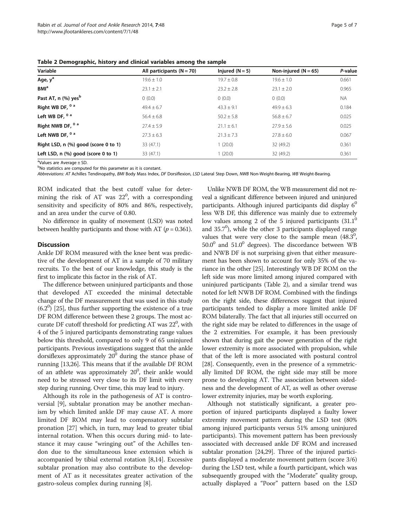<span id="page-4-0"></span>Table 2 Demographic, history and clinical variables among the sample

| Variable                             | All participants $(N = 70)$ | Injured $(N = 5)$ | Non-injured ( $N = 65$ ) | P-value   |
|--------------------------------------|-----------------------------|-------------------|--------------------------|-----------|
| Age, y <sup>a</sup>                  | $19.6 + 1.0$                | $19.7 + 0.8$      | $19.6 \pm 1.0$           | 0.661     |
| <b>BMI</b> <sup>a</sup>              | $23.1 \pm 2.1$              | $23.2 \pm 2.8$    | $23.1 \pm 2.0$           | 0.965     |
| Past AT, n (%) yes <sup>b</sup>      | 0(0.0)                      | 0(0.0)            | 0(0.0)                   | <b>NA</b> |
| Right WB DF, 0 a                     | $49.4 + 6.7$                | $43.3 \pm 9.1$    | $49.9 + 6.3$             | 0.184     |
| Left WB DF, <sup>0 a</sup>           | $56.4 \pm 6.8$              | $50.2 \pm 5.8$    | $56.8 \pm 6.7$           | 0.025     |
| Right NWB DF, 0 a                    | $77.4 + 5.9$                | $21.1 \pm 6.1$    | $27.9 \pm 5.6$           | 0.025     |
| Left NWB DF, <sup>0 a</sup>          | $27.3 \pm 6.3$              | $21.3 \pm 7.3$    | $27.8 \pm 6.0$           | 0.067     |
| Right LSD, n (%) good (score 0 to 1) | 33 (47.1)                   | 1(20.0)           | 32 (49.2)                | 0.361     |
| Left LSD, n (%) good (score 0 to 1)  | 33 (47.1)                   | 1(20.0)           | 32 (49.2)                | 0.361     |

<sup>a</sup>Values are Average ± SD.

<sup>b</sup>No statistics are computed for this parameter as it is constant.

Abbreviations: AT Achilles Tendinopathy, BMI Body Mass Index, DF Dorsiflexion, LSD Lateral Step Down, NWB Non-Weight-Bearing, WB Weight-Bearing.

ROM indicated that the best cutoff value for determining the risk of AT was  $22^0$ , with a corresponding sensitivity and specificity of 80% and 86%, respectively, and an area under the curve of 0.80.

No difference in quality of movement (LSD) was noted between healthy participants and those with AT ( $p = 0.361$ ).

#### **Discussion**

Ankle DF ROM measured with the knee bent was predictive of the development of AT in a sample of 70 military recruits. To the best of our knowledge, this study is the first to implicate this factor in the risk of AT.

The difference between uninjured participants and those that developed AT exceeded the minimal detectable change of the DF measurement that was used in this study  $(6.2^0)$  [\[25](#page-6-0)], thus further supporting the existence of a true DF ROM difference between these 2 groups. The most accurate DF cutoff threshold for predicting AT was 22<sup>0</sup>, with 4 of the 5 injured participants demonstrating range values below this threshold, compared to only 9 of 65 uninjured participants. Previous investigations suggest that the ankle dorsiflexes approximately  $20^0$  during the stance phase of running [[13,26\]](#page-6-0). This means that if the available DF ROM of an athlete was approximately  $20^0$ , their ankle would need to be stressed very close to its DF limit with every step during running. Over time, this may lead to injury.

Although its role in the pathogenesis of AT is controversial [[9\]](#page-6-0), subtalar pronation may be another mechanism by which limited ankle DF may cause AT. A more limited DF ROM may lead to compensatory subtalar pronation [[27](#page-6-0)] which, in turn, may lead to greater tibial internal rotation. When this occurs during mid- to latestance it may cause "wringing out" of the Achilles tendon due to the simultaneous knee extension which is accompanied by tibial external rotation [[8,14\]](#page-6-0). Excessive subtalar pronation may also contribute to the development of AT as it necessitates greater activation of the gastro-soleus complex during running [\[8](#page-6-0)].

Unlike NWB DF ROM, the WB measurement did not reveal a significant difference between injured and uninjured participants. Although injured participants did display  $6^0$ less WB DF, this difference was mainly due to extremely low values among 2 of the 5 injured participants  $(31.1^{\circ}$ and 35.7<sup>0</sup>), while the other 3 participants displayed range values that were very close to the sample mean  $(48.3^0,$  $50.0^0$  and  $51.0^0$  degrees). The discordance between WB and NWB DF is not surprising given that either measurement has been shown to account for only 35% of the variance in the other [[25](#page-6-0)]. Interestingly WB DF ROM on the left side was more limited among injured compared with uninjured participants (Table 2), and a similar trend was noted for left NWB DF ROM. Combined with the findings on the right side, these differences suggest that injured participants tended to display a more limited ankle DF ROM bilaterally. The fact that all injuries still occurred on the right side may be related to differences in the usage of the 2 extremities. For example, it has been previously shown that during gait the power generation of the right lower extremity is more associated with propulsion, while that of the left is more associated with postural control [[28](#page-6-0)]. Consequently, even in the presence of a symmetrically limited DF ROM, the right side may still be more prone to developing AT. The association between sidedness and the development of AT, as well as other overuse lower extremity injuries, may be worth exploring.

Although not statistically significant, a greater proportion of injured participants displayed a faulty lower extremity movement pattern during the LSD test (80% among injured participants versus 51% among uninjured participants). This movement pattern has been previously associated with decreased ankle DF ROM and increased subtalar pronation [[24](#page-6-0),[29](#page-6-0)]. Three of the injured participants displayed a moderate movement pattern (score 3/6) during the LSD test, while a fourth participant, which was subsequently grouped with the "Moderate" quality group, actually displayed a "Poor" pattern based on the LSD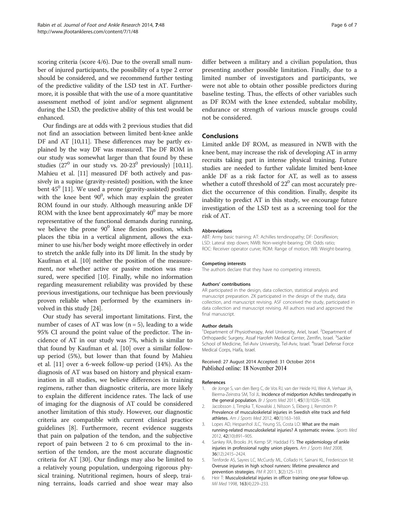<span id="page-5-0"></span>scoring criteria (score 4/6). Due to the overall small number of injured participants, the possibility of a type 2 error should be considered, and we recommend further testing of the predictive validity of the LSD test in AT. Furthermore, it is possible that with the use of a more quantitative assessment method of joint and/or segment alignment during the LSD, the predictive ability of this test would be enhanced.

Our findings are at odds with 2 previous studies that did not find an association between limited bent-knee ankle DF and AT [\[10,11\]](#page-6-0). These differences may be partly explained by the way DF was measured. The DF ROM in our study was somewhat larger than that found by these studies  $(27^0$  in our study vs. 20-23<sup>0</sup> previously) [\[10,11](#page-6-0)]. Mahieu et al. [\[11\]](#page-6-0) measured DF both actively and passively in a supine (gravity-resisted) position, with the knee bent  $45^{\circ}$  [\[11\]](#page-6-0). We used a prone (gravity-assisted) position with the knee bent  $90^0$ , which may explain the greater ROM found in our study. Although measuring ankle DF ROM with the knee bent approximately  $40^0$  may be more representative of the functional demands during running, we believe the prone  $90^0$  knee flexion position, which places the tibia in a vertical alignment, allows the examiner to use his/her body weight more effectively in order to stretch the ankle fully into its DF limit. In the study by Kaufman et al. [\[10\]](#page-6-0) neither the position of the measurement, nor whether active or passive motion was measured, were specified [[10](#page-6-0)]. Finally, while no information regarding measurement reliability was provided by these previous investigations, our technique has been previously proven reliable when performed by the examiners involved in this study [[24](#page-6-0)].

Our study has several important limitations. First, the number of cases of AT was low  $(n = 5)$ , leading to a wide 95% CI around the point value of the predictor. The incidence of AT in our study was 7%, which is similar to that found by Kaufman et al. [[10](#page-6-0)] over a similar followup period (5%), but lower than that found by Mahieu et al. [[11](#page-6-0)] over a 6-week follow-up period (14%). As the diagnosis of AT was based on history and physical examination in all studies, we believe differences in training regimens, rather than diagnostic criteria, are more likely to explain the different incidence rates. The lack of use of imaging for the diagnosis of AT could be considered another limitation of this study. However, our diagnostic criteria are compatible with current clinical practice guidelines [[8\]](#page-6-0). Furthermore, recent evidence suggests that pain on palpation of the tendon, and the subjective report of pain between 2 to 6 cm proximal to the insertion of the tendon, are the most accurate diagnostic criteria for AT [\[30](#page-6-0)]. Our findings may also be limited to a relatively young population, undergoing rigorous physical training. Nutritional regimen, hours of sleep, training terrains, loads carried and shoe wear may also

differ between a military and a civilian population, thus presenting another possible limitation. Finally, due to a limited number of investigators and participants, we were not able to obtain other possible predictors during baseline testing. Thus, the effects of other variables such as DF ROM with the knee extended, subtalar mobility, endurance or strength of various muscle groups could not be considered.

#### Conclusions

Limited ankle DF ROM, as measured in NWB with the knee bent, may increase the risk of developing AT in army recruits taking part in intense physical training. Future studies are needed to further validate limited bent-knee ankle DF as a risk factor for AT, as well as to assess whether a cutoff threshold of  $22^0$  can most accurately predict the occurrence of this condition. Finally, despite its inability to predict AT in this study, we encourage future investigation of the LSD test as a screening tool for the risk of AT.

#### Abbreviations

ABT: Army basic training; AT: Achilles tendinopathy; DF: Dorsiflexion; LSD: Lateral step down; NWB: Non-weight-bearing; OR: Odds ratio; ROC: Receiver operator curve; ROM: Range of motion; WB: Weight-bearing.

#### Competing interests

The authors declare that they have no competing interests.

#### Authors' contributions

AR participated in the design, data collection, statistical analysis and manuscript preparation. ZK participated in the design of the study, data collection, and manuscript revising. ASF conceived the study, participated in data collection and manuscript revising. All authors read and approved the final manuscript.

#### Author details

<sup>1</sup>Department of Physiotherapy, Ariel University, Ariel, Israel. <sup>2</sup>Department of Orthopaedic Surgery, Assaf Harofeh Medical Center, Zerrifin, Israel. <sup>3</sup>Sackler School of Medicine, Tel-Aviv University, Tel-Aviv, Israel. <sup>4</sup>Israel Defense Force Medical Corps, Haifa, Israel.

#### Received: 27 August 2014 Accepted: 31 October 2014 Published online: 18 November 2014

#### References

- 1. de Jonge S, van den Berg C, de Vos RJ, van der Heide HJ, Weir A, Verhaar JA, Bierma-Zeinstra SM, Tol JL: Incidence of midportion Achilles tendinopathy in the general population. Br J Sports Med 2011, 45(13):1026–1028.
- 2. Jacobsson J, Timpka T, Kowalski J, Nilsson S, Ekberg J, Renström P: Prevalence of musculoskeletal injuries in Swedish elite track and field athletes. Am J Sports Med 2012, 40(1):163–169.
- 3. Lopes AD, Hespanhol JLC, Yeung SS, Costa LO: What are the main running-related musculoskeletal injuries? A systematic review. Sports Med 2012, 42(10):891–905.
- 4. Sankey RA, Brooks JH, Kemp SP, Haddad FS: The epidemiology of ankle injuries in professional rugby union players. Am J Sports Med 2008, 36(12):2415–2424.
- 5. Tenforde AS, Sayres LC, McCurdy ML, Collado H, Sainani KL, Fredericson M: Overuse injuries in high school runners: lifetime prevalence and prevention strategies. PM R 2011, 3(2):125–131.
- 6. Heir T: Musculoskeletal injuries in officer training: one-year follow-up. Mil Med 1998, 163(4):229–233.